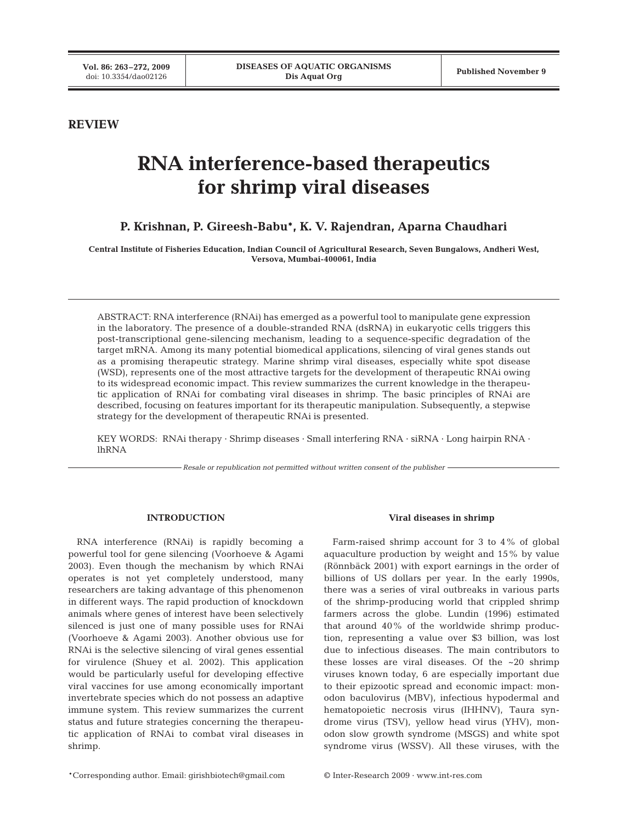# **REVIEW**

# **RNA interference-based therapeutics for shrimp viral diseases**

# **P. Krishnan, P. Gireesh-Babu\*, K. V. Rajendran, Aparna Chaudhari**

**Central Institute of Fisheries Education, Indian Council of Agricultural Research, Seven Bungalows, Andheri West, Versova, Mumbai-400061, India**

ABSTRACT: RNA interference (RNAi) has emerged as a powerful tool to manipulate gene expression in the laboratory. The presence of a double-stranded RNA (dsRNA) in eukaryotic cells triggers this post-transcriptional gene-silencing mechanism, leading to a sequence-specific degradation of the target mRNA. Among its many potential biomedical applications, silencing of viral genes stands out as a promising therapeutic strategy. Marine shrimp viral diseases, especially white spot disease (WSD), represents one of the most attractive targets for the development of therapeutic RNAi owing to its widespread economic impact. This review summarizes the current knowledge in the therapeutic application of RNAi for combating viral diseases in shrimp. The basic principles of RNAi are described, focusing on features important for its therapeutic manipulation. Subsequently, a stepwise strategy for the development of therapeutic RNAi is presented.

KEY WORDS: RNAi therapy · Shrimp diseases · Small interfering RNA · siRNA · Long hairpin RNA · lhRNA

*Resale or republication not permitted without written consent of the publisher*

## **INTRODUCTION**

RNA interference (RNAi) is rapidly becoming a powerful tool for gene silencing (Voorhoeve & Agami 2003). Even though the mechanism by which RNAi operates is not yet completely understood, many researchers are taking advantage of this phenomenon in different ways. The rapid production of knockdown animals where genes of interest have been selectively silenced is just one of many possible uses for RNAi (Voorhoeve & Agami 2003). Another obvious use for RNAi is the selective silencing of viral genes essential for virulence (Shuey et al. 2002). This application would be particularly useful for developing effective viral vaccines for use among economically important invertebrate species which do not possess an adaptive immune system. This review summarizes the current status and future strategies concerning the therapeutic application of RNAi to combat viral diseases in shrimp.

### **Viral diseases in shrimp**

Farm-raised shrimp account for 3 to 4% of global aquaculture production by weight and 15% by value (Rönnbäck 2001) with export earnings in the order of billions of US dollars per year. In the early 1990s, there was a series of viral outbreaks in various parts of the shrimp-producing world that crippled shrimp farmers across the globe. Lundin (1996) estimated that around 40% of the worldwide shrimp production, representing a value over \$3 billion, was lost due to infectious diseases. The main contributors to these losses are viral diseases. Of the ~20 shrimp viruses known today, 6 are especially important due to their epizootic spread and economic impact: monodon baculovirus (MBV), infectious hypodermal and hematopoietic necrosis virus (IHHNV), Taura syndrome virus (TSV), yellow head virus (YHV), monodon slow growth syndrome (MSGS) and white spot syndrome virus (WSSV). All these viruses, with the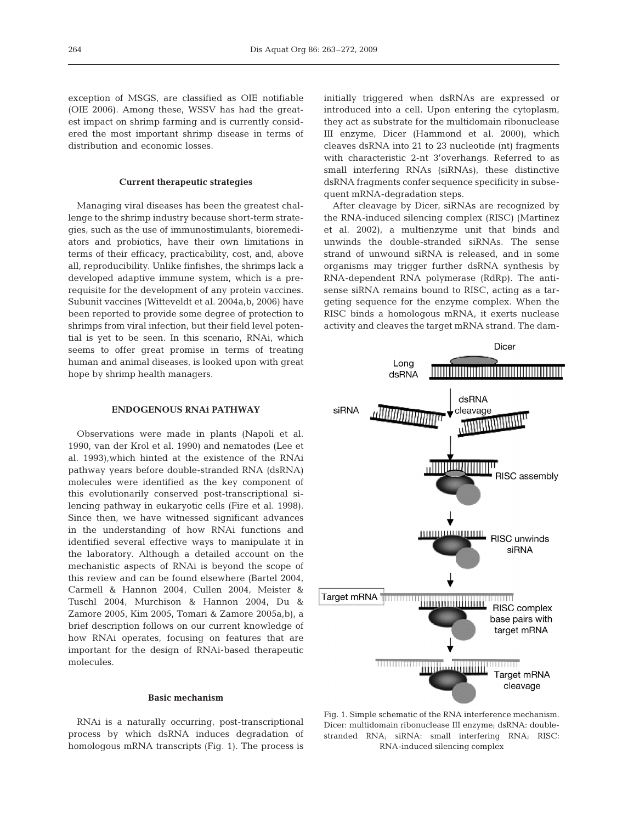exception of MSGS, are classified as OIE notifiable (OIE 2006). Among these, WSSV has had the greatest impact on shrimp farming and is currently considered the most important shrimp disease in terms of distribution and economic losses.

## **Current therapeutic strategies**

Managing viral diseases has been the greatest challenge to the shrimp industry because short-term strategies, such as the use of immunostimulants, bioremediators and probiotics, have their own limitations in terms of their efficacy, practicability, cost, and, above all, reproducibility. Unlike finfishes, the shrimps lack a developed adaptive immune system, which is a prerequisite for the development of any protein vaccines. Subunit vaccines (Witteveldt et al. 2004a,b, 2006) have been reported to provide some degree of protection to shrimps from viral infection, but their field level potential is yet to be seen. In this scenario, RNAi, which seems to offer great promise in terms of treating human and animal diseases, is looked upon with great hope by shrimp health managers.

## **ENDOGENOUS RNAi PATHWAY**

Observations were made in plants (Napoli et al. 1990, van der Krol et al. 1990) and nematodes (Lee et al. 1993),which hinted at the existence of the RNAi pathway years before double-stranded RNA (dsRNA) molecules were identified as the key component of this evolutionarily conserved post-transcriptional silencing pathway in eukaryotic cells (Fire et al. 1998). Since then, we have witnessed significant advances in the understanding of how RNAi functions and identified several effective ways to manipulate it in the laboratory. Although a detailed account on the mechanistic aspects of RNAi is beyond the scope of this review and can be found elsewhere (Bartel 2004, Carmell & Hannon 2004, Cullen 2004, Meister & Tuschl 2004, Murchison & Hannon 2004, Du & Zamore 2005, Kim 2005, Tomari & Zamore 2005a,b), a brief description follows on our current knowledge of how RNAi operates, focusing on features that are important for the design of RNAi-based therapeutic molecules.

#### **Basic mechanism**

RNAi is a naturally occurring, post-transcriptional process by which dsRNA induces degradation of homologous mRNA transcripts (Fig. 1). The process is

initially triggered when dsRNAs are expressed or introduced into a cell. Upon entering the cytoplasm, they act as substrate for the multidomain ribonuclease III enzyme, Dicer (Hammond et al. 2000), which cleaves dsRNA into 21 to 23 nucleotide (nt) fragments with characteristic 2-nt 3'overhangs. Referred to as small interfering RNAs (siRNAs), these distinctive dsRNA fragments confer sequence specificity in subsequent mRNA-degradation steps.

After cleavage by Dicer, siRNAs are recognized by the RNA-induced silencing complex (RISC) (Martinez et al. 2002), a multienzyme unit that binds and unwinds the double-stranded siRNAs. The sense strand of unwound siRNA is released, and in some organisms may trigger further dsRNA synthesis by RNA-dependent RNA polymerase (RdRp). The antisense siRNA remains bound to RISC, acting as a targeting sequence for the enzyme complex. When the RISC binds a homologous mRNA, it exerts nuclease activity and cleaves the target mRNA strand. The dam-



Fig. 1. Simple schematic of the RNA interference mechanism. Dicer: multidomain ribonuclease III enzyme; dsRNA: doublestranded RNA; siRNA: small interfering RNA; RISC: RNA-induced silencing complex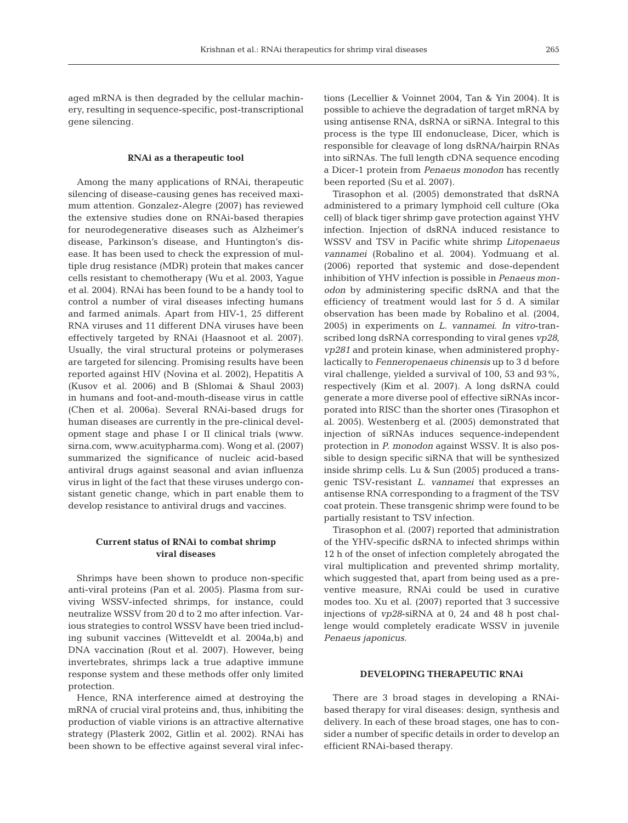aged mRNA is then degraded by the cellular machinery, resulting in sequence-specific, post-transcriptional gene silencing.

#### **RNAi as a therapeutic tool**

Among the many applications of RNAi, therapeutic silencing of disease-causing genes has received maximum attention. Gonzalez-Alegre (2007) has reviewed the extensive studies done on RNAi-based therapies for neurodegenerative diseases such as Alzheimer's disease, Parkinson's disease, and Huntington's disease. It has been used to check the expression of multiple drug resistance (MDR) protein that makes cancer cells resistant to chemotherapy (Wu et al. 2003, Yague et al. 2004). RNAi has been found to be a handy tool to control a number of viral diseases infecting humans and farmed animals. Apart from HIV-1, 25 different RNA viruses and 11 different DNA viruses have been effectively targeted by RNAi (Haasnoot et al. 2007). Usually, the viral structural proteins or polymerases are targeted for silencing. Promising results have been reported against HIV (Novina et al. 2002), Hepatitis A (Kusov et al. 2006) and B (Shlomai & Shaul 2003) in humans and foot-and-mouth-disease virus in cattle (Chen et al. 2006a). Several RNAi-based drugs for human diseases are currently in the pre-clinical development stage and phase I or II clinical trials (www. sirna.com, www.acuitypharma.com). Wong et al. (2007) summarized the significance of nucleic acid-based antiviral drugs against seasonal and avian influenza virus in light of the fact that these viruses undergo consistant genetic change, which in part enable them to develop resistance to antiviral drugs and vaccines.

## **Current status of RNAi to combat shrimp viral diseases**

Shrimps have been shown to produce non-specific anti-viral proteins (Pan et al. 2005). Plasma from surviving WSSV-infected shrimps, for instance, could neutralize WSSV from 20 d to 2 mo after infection. Various strategies to control WSSV have been tried including subunit vaccines (Witteveldt et al. 2004a,b) and DNA vaccination (Rout et al. 2007). However, being invertebrates, shrimps lack a true adaptive immune response system and these methods offer only limited protection.

Hence, RNA interference aimed at destroying the mRNA of crucial viral proteins and, thus, inhibiting the production of viable virions is an attractive alternative strategy (Plasterk 2002, Gitlin et al. 2002). RNAi has been shown to be effective against several viral infections (Lecellier & Voinnet 2004, Tan & Yin 2004). It is possible to achieve the degradation of target mRNA by using antisense RNA, dsRNA or siRNA. Integral to this process is the type III endonuclease, Dicer, which is responsible for cleavage of long dsRNA/hairpin RNAs into siRNAs. The full length cDNA sequence encoding a Dicer-1 protein from *Penaeus monodon* has recently been reported (Su et al. 2007).

Tirasophon et al. (2005) demonstrated that dsRNA administered to a primary lymphoid cell culture (Oka cell) of black tiger shrimp gave protection against YHV infection. Injection of dsRNA induced resistance to WSSV and TSV in Pacific white shrimp *Litopenaeus vannamei* (Robalino et al. 2004). Yodmuang et al. (2006) reported that systemic and dose-dependent inhibition of YHV infection is possible in *Penaeus monodon* by administering specific dsRNA and that the efficiency of treatment would last for 5 d. A similar observation has been made by Robalino et al. (2004, 2005) in experiments on *L. vannamei*. *In vitro*-transcribed long dsRNA corresponding to viral genes *vp28*, *vp281* and protein kinase, when administered prophylactically to *Fenneropenaeus chinensis* up to 3 d before viral challenge, yielded a survival of 100, 53 and 93%, respectively (Kim et al. 2007). A long dsRNA could generate a more diverse pool of effective siRNAs incorporated into RISC than the shorter ones (Tirasophon et al. 2005). Westenberg et al. (2005) demonstrated that injection of siRNAs induces sequence-independent protection in *P. monodon* against WSSV. It is also possible to design specific siRNA that will be synthesized inside shrimp cells. Lu & Sun (2005) produced a transgenic TSV-resistant *L. vannamei* that expresses an antisense RNA corresponding to a fragment of the TSV coat protein. These transgenic shrimp were found to be partially resistant to TSV infection.

Tirasophon et al. (2007) reported that administration of the YHV-specific dsRNA to infected shrimps within 12 h of the onset of infection completely abrogated the viral multiplication and prevented shrimp mortality, which suggested that, apart from being used as a preventive measure, RNAi could be used in curative modes too. Xu et al. (2007) reported that 3 successive injections of *vp28*-siRNA at 0, 24 and 48 h post challenge would completely eradicate WSSV in juvenile *Penaeus japonicus*.

### **DEVELOPING THERAPEUTIC RNAi**

There are 3 broad stages in developing a RNAibased therapy for viral diseases: design, synthesis and delivery. In each of these broad stages, one has to consider a number of specific details in order to develop an efficient RNAi-based therapy.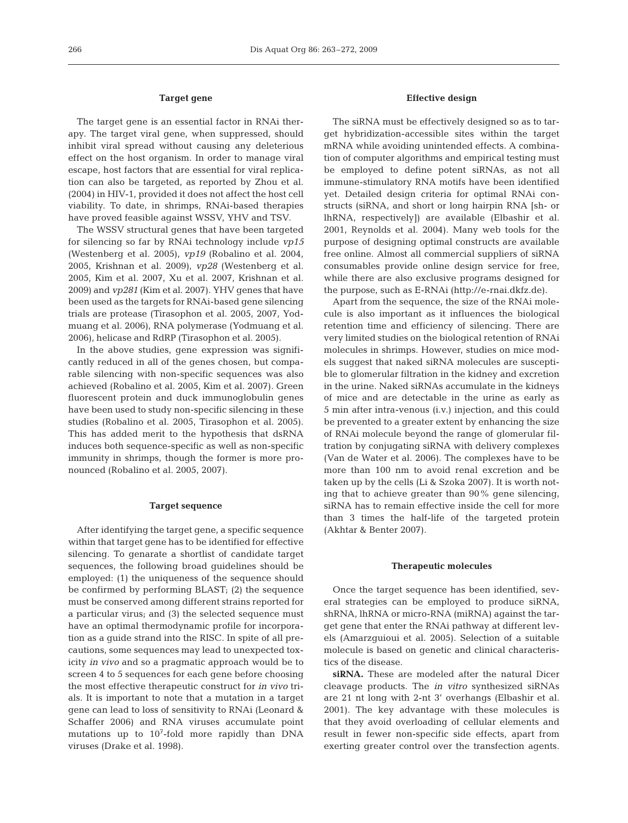## **Target gene**

The target gene is an essential factor in RNAi therapy. The target viral gene, when suppressed, should inhibit viral spread without causing any deleterious effect on the host organism. In order to manage viral escape, host factors that are essential for viral replication can also be targeted, as reported by Zhou et al. (2004) in HIV-1, provided it does not affect the host cell viability. To date, in shrimps, RNAi-based therapies have proved feasible against WSSV, YHV and TSV.

The WSSV structural genes that have been targeted for silencing so far by RNAi technology include *vp15* (Westenberg et al. 2005), *vp19* (Robalino et al. 2004, 2005, Krishnan et al. 2009), *vp28* (Westenberg et al. 2005, Kim et al. 2007, Xu et al. 2007, Krishnan et al. 2009) and *vp281* (Kim et al. 2007). YHV genes that have been used as the targets for RNAi-based gene silencing trials are protease (Tirasophon et al. 2005, 2007, Yodmuang et al. 2006), RNA polymerase (Yodmuang et al. 2006), helicase and RdRP (Tirasophon et al. 2005).

In the above studies, gene expression was significantly reduced in all of the genes chosen, but comparable silencing with non-specific sequences was also achieved (Robalino et al. 2005, Kim et al. 2007). Green fluorescent protein and duck immunoglobulin genes have been used to study non-specific silencing in these studies (Robalino et al. 2005, Tirasophon et al. 2005). This has added merit to the hypothesis that dsRNA induces both sequence-specific as well as non-specific immunity in shrimps, though the former is more pronounced (Robalino et al. 2005, 2007).

#### **Target sequence**

After identifying the target gene, a specific sequence within that target gene has to be identified for effective silencing. To genarate a shortlist of candidate target sequences, the following broad guidelines should be employed: (1) the uniqueness of the sequence should be confirmed by performing BLAST; (2) the sequence must be conserved among different strains reported for a particular virus; and (3) the selected sequence must have an optimal thermodynamic profile for incorporation as a guide strand into the RISC. In spite of all precautions, some sequences may lead to unexpected toxicity *in vivo* and so a pragmatic approach would be to screen 4 to 5 sequences for each gene before choosing the most effective therapeutic construct for *in vivo* trials. It is important to note that a mutation in a target gene can lead to loss of sensitivity to RNAi (Leonard & Schaffer 2006) and RNA viruses accumulate point mutations up to  $10^7$ -fold more rapidly than DNA viruses (Drake et al. 1998).

## **Effective design**

The siRNA must be effectively designed so as to target hybridization-accessible sites within the target mRNA while avoiding unintended effects. A combination of computer algorithms and empirical testing must be employed to define potent siRNAs, as not all immune-stimulatory RNA motifs have been identified yet. Detailed design criteria for optimal RNAi constructs (siRNA, and short or long hairpin RNA [sh- or lhRNA, respectively]) are available (Elbashir et al. 2001, Reynolds et al. 2004). Many web tools for the purpose of designing optimal constructs are available free online. Almost all commercial suppliers of siRNA consumables provide online design service for free, while there are also exclusive programs designed for the purpose, such as E-RNAi (http://e-rnai.dkfz.de).

Apart from the sequence, the size of the RNAi molecule is also important as it influences the biological retention time and efficiency of silencing. There are very limited studies on the biological retention of RNAi molecules in shrimps. However, studies on mice models suggest that naked siRNA molecules are susceptible to glomerular filtration in the kidney and excretion in the urine. Naked siRNAs accumulate in the kidneys of mice and are detectable in the urine as early as 5 min after intra-venous (i.v.) injection, and this could be prevented to a greater extent by enhancing the size of RNAi molecule beyond the range of glomerular filtration by conjugating siRNA with delivery complexes (Van de Water et al. 2006). The complexes have to be more than 100 nm to avoid renal excretion and be taken up by the cells (Li & Szoka 2007). It is worth noting that to achieve greater than 90% gene silencing, siRNA has to remain effective inside the cell for more than 3 times the half-life of the targeted protein (Akhtar & Benter 2007).

#### **Therapeutic molecules**

Once the target sequence has been identified, several strategies can be employed to produce siRNA, shRNA, lhRNA or micro-RNA (miRNA) against the target gene that enter the RNAi pathway at different levels (Amarzguioui et al. 2005). Selection of a suitable molecule is based on genetic and clinical characteristics of the disease.

**siRNA.** These are modeled after the natural Dicer cleavage products. The *in vitro* synthesized siRNAs are 21 nt long with 2-nt 3' overhangs (Elbashir et al. 2001). The key advantage with these molecules is that they avoid overloading of cellular elements and result in fewer non-specific side effects, apart from exerting greater control over the transfection agents.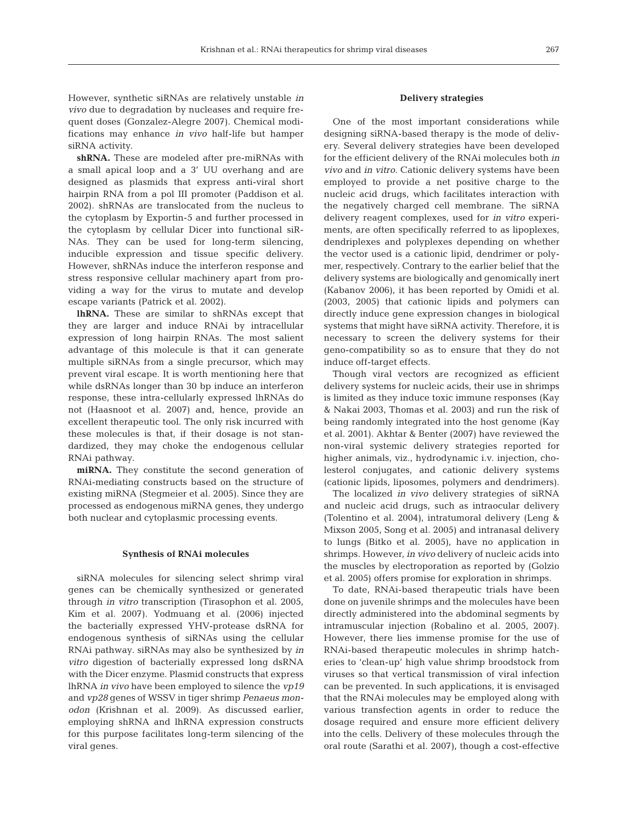However, synthetic siRNAs are relatively unstable *in vivo* due to degradation by nucleases and require frequent doses (Gonzalez-Alegre 2007). Chemical modifications may enhance *in vivo* half-life but hamper siRNA activity.

**shRNA.** These are modeled after pre-miRNAs with a small apical loop and a 3' UU overhang and are designed as plasmids that express anti-viral short hairpin RNA from a pol III promoter (Paddison et al. 2002). shRNAs are translocated from the nucleus to the cytoplasm by Exportin-5 and further processed in the cytoplasm by cellular Dicer into functional siR-NAs. They can be used for long-term silencing, inducible expression and tissue specific delivery. However, shRNAs induce the interferon response and stress responsive cellular machinery apart from providing a way for the virus to mutate and develop escape variants (Patrick et al. 2002).

**lhRNA.** These are similar to shRNAs except that they are larger and induce RNAi by intracellular expression of long hairpin RNAs. The most salient advantage of this molecule is that it can generate multiple siRNAs from a single precursor, which may prevent viral escape. It is worth mentioning here that while dsRNAs longer than 30 bp induce an interferon response, these intra-cellularly expressed lhRNAs do not (Haasnoot et al. 2007) and, hence, provide an excellent therapeutic tool. The only risk incurred with these molecules is that, if their dosage is not standardized, they may choke the endogenous cellular RNAi pathway.

**miRNA.** They constitute the second generation of RNAi-mediating constructs based on the structure of existing miRNA (Stegmeier et al. 2005). Since they are processed as endogenous miRNA genes, they undergo both nuclear and cytoplasmic processing events.

### **Synthesis of RNAi molecules**

siRNA molecules for silencing select shrimp viral genes can be chemically synthesized or generated through *in vitro* transcription (Tirasophon et al. 2005, Kim et al. 2007). Yodmuang et al. (2006) injected the bacterially expressed YHV-protease dsRNA for endogenous synthesis of siRNAs using the cellular RNAi pathway. siRNAs may also be synthesized by *in vitro* digestion of bacterially expressed long dsRNA with the Dicer enzyme. Plasmid constructs that express lhRNA *in vivo* have been employed to silence the *vp19* and *vp28* genes of WSSV in tiger shrimp *Penaeus monodon* (Krishnan et al. 2009). As discussed earlier, employing shRNA and lhRNA expression constructs for this purpose facilitates long-term silencing of the viral genes.

## **Delivery strategies**

One of the most important considerations while designing siRNA-based therapy is the mode of delivery. Several delivery strategies have been developed for the efficient delivery of the RNAi molecules both *in vivo* and *in vitro*. Cationic delivery systems have been employed to provide a net positive charge to the nucleic acid drugs, which facilitates interaction with the negatively charged cell membrane. The siRNA delivery reagent complexes, used for *in vitro* experiments, are often specifically referred to as lipoplexes, dendriplexes and polyplexes depending on whether the vector used is a cationic lipid, dendrimer or polymer, respectively. Contrary to the earlier belief that the delivery systems are biologically and genomically inert (Kabanov 2006), it has been reported by Omidi et al. (2003, 2005) that cationic lipids and polymers can directly induce gene expression changes in biological systems that might have siRNA activity. Therefore, it is necessary to screen the delivery systems for their geno-compatibility so as to ensure that they do not induce off-target effects.

Though viral vectors are recognized as efficient delivery systems for nucleic acids, their use in shrimps is limited as they induce toxic immune responses (Kay & Nakai 2003, Thomas et al. 2003) and run the risk of being randomly integrated into the host genome (Kay et al. 2001). Akhtar & Benter (2007) have reviewed the non-viral systemic delivery strategies reported for higher animals, viz., hydrodynamic i.v. injection, cholesterol conjugates, and cationic delivery systems (cationic lipids, liposomes, polymers and dendrimers).

The localized *in vivo* delivery strategies of siRNA and nucleic acid drugs, such as intraocular delivery (Tolentino et al. 2004), intratumoral delivery (Leng & Mixson 2005, Song et al. 2005) and intranasal delivery to lungs (Bitko et al. 2005), have no application in shrimps. However, *in vivo* delivery of nucleic acids into the muscles by electroporation as reported by (Golzio et al. 2005) offers promise for exploration in shrimps.

To date, RNAi-based therapeutic trials have been done on juvenile shrimps and the molecules have been directly administered into the abdominal segments by intramuscular injection (Robalino et al. 2005, 2007). However, there lies immense promise for the use of RNAi-based therapeutic molecules in shrimp hatcheries to 'clean-up' high value shrimp broodstock from viruses so that vertical transmission of viral infection can be prevented. In such applications, it is envisaged that the RNAi molecules may be employed along with various transfection agents in order to reduce the dosage required and ensure more efficient delivery into the cells. Delivery of these molecules through the oral route (Sarathi et al. 2007), though a cost-effective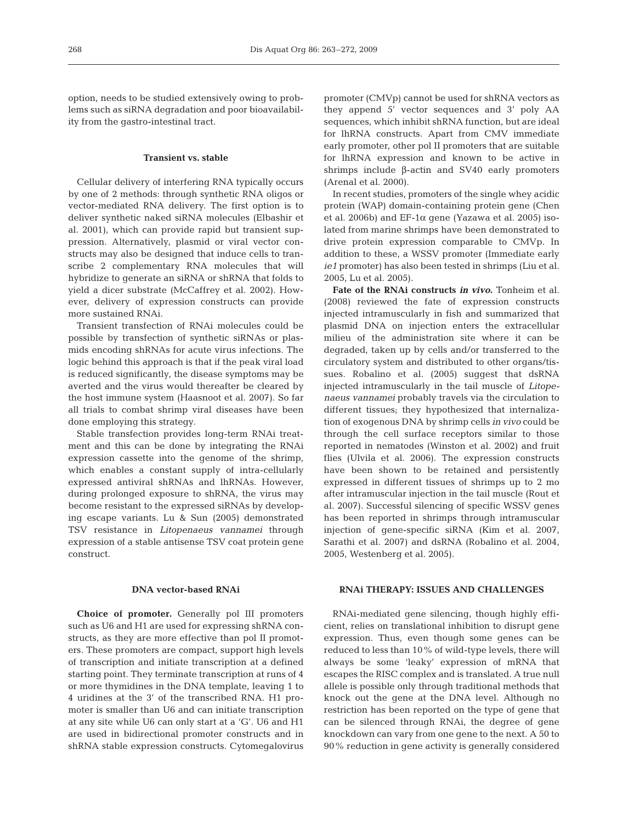option, needs to be studied extensively owing to problems such as siRNA degradation and poor bioavailability from the gastro-intestinal tract.

#### **Transient vs. stable**

Cellular delivery of interfering RNA typically occurs by one of 2 methods: through synthetic RNA oligos or vector-mediated RNA delivery. The first option is to deliver synthetic naked siRNA molecules (Elbashir et al. 2001), which can provide rapid but transient suppression. Alternatively, plasmid or viral vector constructs may also be designed that induce cells to transcribe 2 complementary RNA molecules that will hybridize to generate an siRNA or shRNA that folds to yield a dicer substrate (McCaffrey et al. 2002). However, delivery of expression constructs can provide more sustained RNAi.

Transient transfection of RNAi molecules could be possible by transfection of synthetic siRNAs or plasmids encoding shRNAs for acute virus infections. The logic behind this approach is that if the peak viral load is reduced significantly, the disease symptoms may be averted and the virus would thereafter be cleared by the host immune system (Haasnoot et al. 2007). So far all trials to combat shrimp viral diseases have been done employing this strategy.

Stable transfection provides long-term RNAi treatment and this can be done by integrating the RNAi expression cassette into the genome of the shrimp, which enables a constant supply of intra-cellularly expressed antiviral shRNAs and lhRNAs. However, during prolonged exposure to shRNA, the virus may become resistant to the expressed siRNAs by developing escape variants. Lu & Sun (2005) demonstrated TSV resistance in *Litopenaeus vannamei* through expression of a stable antisense TSV coat protein gene construct.

#### **DNA vector-based RNAi**

**Choice of promoter.** Generally pol III promoters such as U6 and H1 are used for expressing shRNA constructs, as they are more effective than pol II promoters. These promoters are compact, support high levels of transcription and initiate transcription at a defined starting point. They terminate transcription at runs of 4 or more thymidines in the DNA template, leaving 1 to 4 uridines at the 3' of the transcribed RNA. H1 promoter is smaller than U6 and can initiate transcription at any site while U6 can only start at a 'G'. U6 and H1 are used in bidirectional promoter constructs and in shRNA stable expression constructs. Cytomegalovirus

promoter (CMVp) cannot be used for shRNA vectors as they append 5' vector sequences and 3' poly AA sequences, which inhibit shRNA function, but are ideal for lhRNA constructs. Apart from CMV immediate early promoter, other pol II promoters that are suitable for lhRNA expression and known to be active in shrimps include β-actin and SV40 early promoters (Arenal et al. 2000).

In recent studies, promoters of the single whey acidic protein (WAP) domain-containing protein gene (Chen et al. 2006b) and EF-1 $\alpha$  gene (Yazawa et al. 2005) isolated from marine shrimps have been demonstrated to drive protein expression comparable to CMVp. In addition to these, a WSSV promoter (Immediate early *ie1* promoter) has also been tested in shrimps (Liu et al. 2005, Lu et al. 2005).

**Fate of the RNAi constructs** *in vivo***.** Tonheim et al. (2008) reviewed the fate of expression constructs injected intramuscularly in fish and summarized that plasmid DNA on injection enters the extracellular milieu of the administration site where it can be degraded, taken up by cells and/or transferred to the circulatory system and distributed to other organs/tissues. Robalino et al. (2005) suggest that dsRNA injected intramuscularly in the tail muscle of *Litopenaeus vannamei* probably travels via the circulation to different tissues; they hypothesized that internalization of exogenous DNA by shrimp cells *in vivo* could be through the cell surface receptors similar to those reported in nematodes (Winston et al. 2002) and fruit flies (Ulvila et al. 2006). The expression constructs have been shown to be retained and persistently expressed in different tissues of shrimps up to 2 mo after intramuscular injection in the tail muscle (Rout et al. 2007). Successful silencing of specific WSSV genes has been reported in shrimps through intramuscular injection of gene-specific siRNA (Kim et al. 2007, Sarathi et al. 2007) and dsRNA (Robalino et al. 2004, 2005, Westenberg et al. 2005).

## **RNAi THERAPY: ISSUES AND CHALLENGES**

RNAi-mediated gene silencing, though highly efficient, relies on translational inhibition to disrupt gene expression. Thus, even though some genes can be reduced to less than 10% of wild-type levels, there will always be some 'leaky' expression of mRNA that escapes the RISC complex and is translated. A true null allele is possible only through traditional methods that knock out the gene at the DNA level. Although no restriction has been reported on the type of gene that can be silenced through RNAi, the degree of gene knockdown can vary from one gene to the next. A 50 to 90% reduction in gene activity is generally considered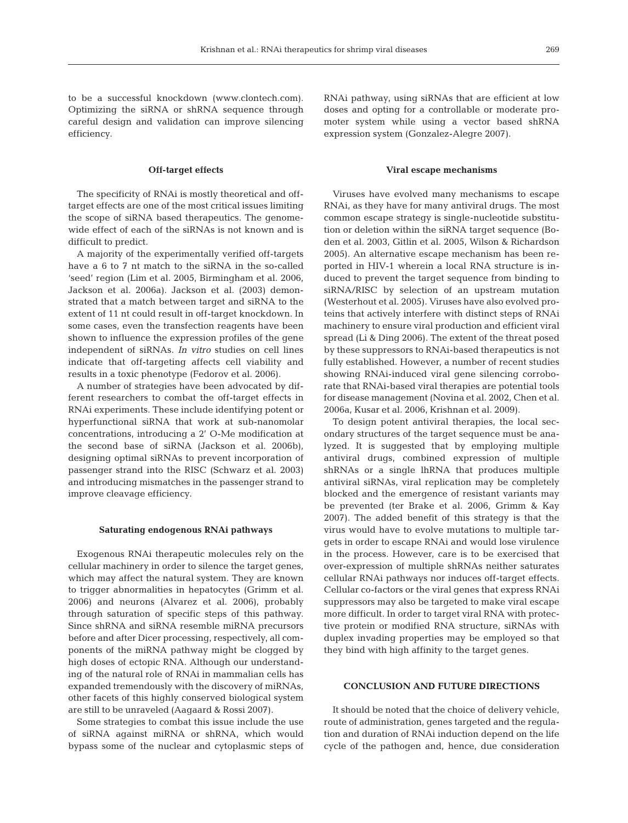to be a successful knockdown (www.clontech.com). Optimizing the siRNA or shRNA sequence through careful design and validation can improve silencing efficiency.

## **Off-target effects**

The specificity of RNAi is mostly theoretical and offtarget effects are one of the most critical issues limiting the scope of siRNA based therapeutics. The genomewide effect of each of the siRNAs is not known and is difficult to predict.

A majority of the experimentally verified off-targets have a 6 to 7 nt match to the siRNA in the so-called 'seed' region (Lim et al. 2005, Birmingham et al. 2006, Jackson et al. 2006a). Jackson et al. (2003) demonstrated that a match between target and siRNA to the extent of 11 nt could result in off-target knockdown. In some cases, even the transfection reagents have been shown to influence the expression profiles of the gene independent of siRNAs. *In vitro* studies on cell lines indicate that off-targeting affects cell viability and results in a toxic phenotype (Fedorov et al. 2006).

A number of strategies have been advocated by different researchers to combat the off-target effects in RNAi experiments. These include identifying potent or hyperfunctional siRNA that work at sub-nanomolar concentrations, introducing a 2' O-Me modification at the second base of siRNA (Jackson et al. 2006b), designing optimal siRNAs to prevent incorporation of passenger strand into the RISC (Schwarz et al. 2003) and introducing mismatches in the passenger strand to improve cleavage efficiency.

#### **Saturating endogenous RNAi pathways**

Exogenous RNAi therapeutic molecules rely on the cellular machinery in order to silence the target genes, which may affect the natural system. They are known to trigger abnormalities in hepatocytes (Grimm et al. 2006) and neurons (Alvarez et al. 2006), probably through saturation of specific steps of this pathway. Since shRNA and siRNA resemble miRNA precursors before and after Dicer processing, respectively, all components of the miRNA pathway might be clogged by high doses of ectopic RNA. Although our understanding of the natural role of RNAi in mammalian cells has expanded tremendously with the discovery of miRNAs, other facets of this highly conserved biological system are still to be unraveled (Aagaard & Rossi 2007).

Some strategies to combat this issue include the use of siRNA against miRNA or shRNA, which would bypass some of the nuclear and cytoplasmic steps of RNAi pathway, using siRNAs that are efficient at low doses and opting for a controllable or moderate promoter system while using a vector based shRNA expression system (Gonzalez-Alegre 2007).

## **Viral escape mechanisms**

Viruses have evolved many mechanisms to escape RNAi, as they have for many antiviral drugs. The most common escape strategy is single-nucleotide substitution or deletion within the siRNA target sequence (Boden et al. 2003, Gitlin et al. 2005, Wilson & Richardson 2005). An alternative escape mechanism has been reported in HIV-1 wherein a local RNA structure is induced to prevent the target sequence from binding to siRNA/RISC by selection of an upstream mutation (Westerhout et al. 2005). Viruses have also evolved proteins that actively interfere with distinct steps of RNAi machinery to ensure viral production and efficient viral spread (Li & Ding 2006). The extent of the threat posed by these suppressors to RNAi-based therapeutics is not fully established. However, a number of recent studies showing RNAi-induced viral gene silencing corroborate that RNAi-based viral therapies are potential tools for disease management (Novina et al. 2002, Chen et al. 2006a, Kusar et al. 2006, Krishnan et al. 2009).

To design potent antiviral therapies, the local secondary structures of the target sequence must be analyzed. It is suggested that by employing multiple antiviral drugs, combined expression of multiple shRNAs or a single lhRNA that produces multiple antiviral siRNAs, viral replication may be completely blocked and the emergence of resistant variants may be prevented (ter Brake et al. 2006, Grimm & Kay 2007). The added benefit of this strategy is that the virus would have to evolve mutations to multiple targets in order to escape RNAi and would lose virulence in the process. However, care is to be exercised that over-expression of multiple shRNAs neither saturates cellular RNAi pathways nor induces off-target effects. Cellular co-factors or the viral genes that express RNAi suppressors may also be targeted to make viral escape more difficult. In order to target viral RNA with protective protein or modified RNA structure, siRNAs with duplex invading properties may be employed so that they bind with high affinity to the target genes.

## **CONCLUSION AND FUTURE DIRECTIONS**

It should be noted that the choice of delivery vehicle, route of administration, genes targeted and the regulation and duration of RNAi induction depend on the life cycle of the pathogen and, hence, due consideration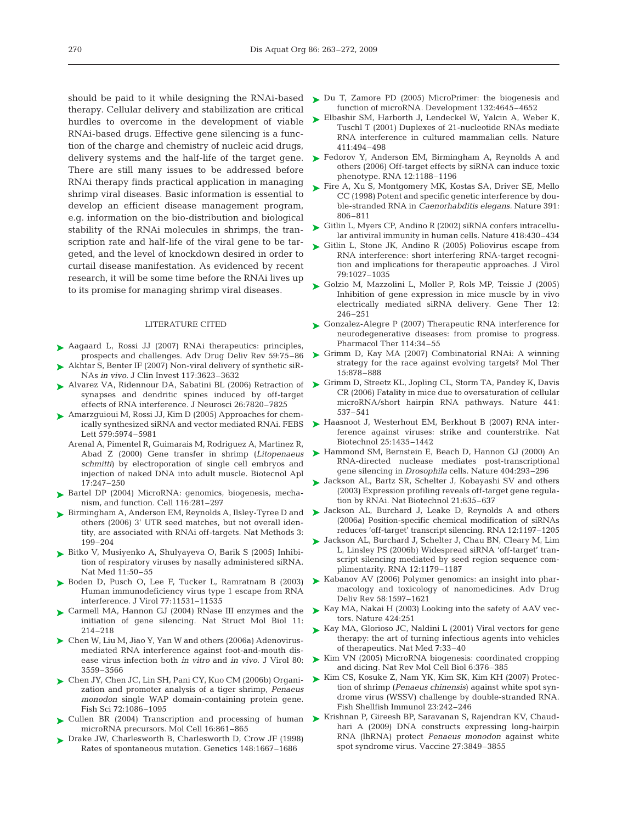therapy. Cellular delivery and stabilization are critical hurdles to overcome in the development of viable RNAi-based drugs. Effective gene silencing is a function of the charge and chemistry of nucleic acid drugs, delivery systems and the half-life of the target gene. There are still many issues to be addressed before RNAi therapy finds practical application in managing shrimp viral diseases. Basic information is essential to develop an efficient disease management program, e.g. information on the bio-distribution and biological stability of the RNAi molecules in shrimps, the transcription rate and half-life of the viral gene to be targeted, and the level of knockdown desired in order to curtail disease manifestation. As evidenced by recent research, it will be some time before the RNAi lives up to its promise for managing shrimp viral diseases.

#### LITERATURE CITED

- ▶ Aagaard L, Rossi JJ (2007) RNAi therapeutics: principles, prospects and challenges. Adv Drug Deliv Rev 59:75–86
- ▶ Akhtar S, Benter IF (2007) Non-viral delivery of synthetic siR-NAs *in vivo.* J Clin Invest 117:3623–3632
- Alvarez VA, Ridennour DA, Sabatini BL (2006) Retraction of ➤ synapses and dendritic spines induced by off-target effects of RNA interference. J Neurosci 26:7820–7825
- ► Amarzguioui M, Rossi JJ, Kim D (2005) Approaches for chemically synthesized siRNA and vector mediated RNAi. FEBS Lett 579:5974–5981
	- Arenal A, Pimentel R, Guimarais M, Rodriguez A, Martinez R, Abad Z (2000) Gene transfer in shrimp (*Litopenaeus schmitti*) by electroporation of single cell embryos and injection of naked DNA into adult muscle. Biotecnol Apl 17:247–250
- ▶ Bartel DP (2004) MicroRNA: genomics, biogenesis, mechanism, and function. Cell 116:281–297
- ► Birmingham A, Anderson EM, Reynolds A, Ilsley-Tyree D and others (2006) 3' UTR seed matches, but not overall identity, are associated with RNAi off-targets. Nat Methods 3: 199–204
- Bitko V, Musiyenko A, Shulyayeva O, Barik S (2005) Inhibi-➤ tion of respiratory viruses by nasally administered siRNA. Nat Med 11:50–55
- ▶ Boden D, Pusch O, Lee F, Tucker L, Ramratnam B (2003) Human immunodeficiency virus type 1 escape from RNA interference. J Virol 77:11531–11535
- ► Carmell MA, Hannon GJ (2004) RNase III enzymes and the initiation of gene silencing. Nat Struct Mol Biol 11: 214–218
- ▶ Chen W, Liu M, Jiao Y, Yan W and others (2006a) Adenovirusmediated RNA interference against foot-and-mouth disease virus infection both *in vitro* and *in vivo.* J Virol 80: 3559–3566
- Chen JY, Chen JC, Lin SH, Pani CY, Kuo CM (2006b) Organi-➤ zation and promoter analysis of a tiger shrimp, *Penaeus monodon* single WAP domain-containing protein gene. Fish Sci 72:1086–1095
- ▶ Cullen BR (2004) Transcription and processing of human microRNA precursors. Mol Cell 16:861–865
- ▶ Drake JW, Charlesworth B, Charlesworth D, Crow JF (1998) Rates of spontaneous mutation. Genetics 148:1667–1686
- should be paid to it while designing the RNAi-based > Du T, Zamore PD (2005) MicroPrimer: the biogenesis and function of microRNA. Development 132:4645–4652
	- ► Elbashir SM, Harborth J, Lendeckel W, Yalcin A, Weber K, Tuschl T (2001) Duplexes of 21-nucleotide RNAs mediate RNA interference in cultured mammalian cells. Nature 411:494–498
	- ► Fedorov Y, Anderson EM, Birmingham A, Reynolds A and others (2006) Off-target effects by siRNA can induce toxic phenotype. RNA 12:1188–1196
	- ► Fire A, Xu S, Montgomery MK, Kostas SA, Driver SE, Mello CC (1998) Potent and specific genetic interference by double-stranded RNA in *Caenorhabditis elegans.* Nature 391: 806–811
	- ► Gitlin L, Myers CP, Andino R (2002) siRNA confers intracellular antiviral immunity in human cells. Nature 418:430–434
	- ► Gitlin L, Stone JK, Andino R (2005) Poliovirus escape from RNA interference: short interfering RNA-target recognition and implications for therapeutic approaches. J Virol 79:1027–1035
	- ► Golzio M, Mazzolini L, Moller P, Rols MP, Teissie J (2005) Inhibition of gene expression in mice muscle by in vivo electrically mediated siRNA delivery. Gene Ther 12: 246–251
	- ► Gonzalez-Alegre P (2007) Therapeutic RNA interference for neurodegenerative diseases: from promise to progress. Pharmacol Ther 114:34–55
	- ► Grimm D, Kay MA (2007) Combinatorial RNAi: A winning strategy for the race against evolving targets? Mol Ther 15:878–888
	- ► Grimm D, Streetz KL, Jopling CL, Storm TA, Pandey K, Davis CR (2006) Fatality in mice due to oversaturation of cellular microRNA/short hairpin RNA pathways. Nature 441: 537–541
	- ► Haasnoot J, Westerhout EM, Berkhout B (2007) RNA interference against viruses: strike and counterstrike. Nat Biotechnol 25:1435–1442
	- ► Hammond SM, Bernstein E, Beach D, Hannon GJ (2000) An RNA-directed nuclease mediates post-transcriptional gene silencing in *Drosophila* cells. Nature 404:293–296
	- ► Jackson AL, Bartz SR, Schelter J, Kobayashi SV and others (2003) Expression profiling reveals off-target gene regulation by RNAi. Nat Biotechnol 21:635–637
	- ▶ Jackson AL, Burchard J, Leake D, Reynolds A and others (2006a) Position-specific chemical modification of siRNAs reduces 'off-target' transcript silencing. RNA 12:1197–1205
	- ▶ Jackson AL, Burchard J, Schelter J, Chau BN, Cleary M, Lim L, Linsley PS (2006b) Widespread siRNA 'off-target' transcript silencing mediated by seed region sequence complimentarity. RNA 12:1179–1187
	- ► Kabanov AV (2006) Polymer genomics: an insight into pharmacology and toxicology of nanomedicines. Adv Drug Deliv Rev 58:1597–1621
	- ► Kay MA, Nakai H (2003) Looking into the safety of AAV vectors. Nature 424:251
	- ► Kay MA, Glorioso JC, Naldini L (2001) Viral vectors for gene therapy: the art of turning infectious agents into vehicles of therapeutics. Nat Med 7:33–40
	- ► Kim VN (2005) MicroRNA biogenesis: coordinated cropping and dicing. Nat Rev Mol Cell Biol 6:376–385
	- ► Kim CS, Kosuke Z, Nam YK, Kim SK, Kim KH (2007) Protection of shrimp (*Penaeus chinensis*) against white spot syndrome virus (WSSV) challenge by double-stranded RNA. Fish Shellfish Immunol 23:242–246
	- ► Krishnan P, Gireesh BP, Saravanan S, Rajendran KV, Chaudhari A (2009) DNA constructs expressing long-hairpin RNA (lhRNA) protect *Penaeus monodon* against white spot syndrome virus. Vaccine 27:3849–3855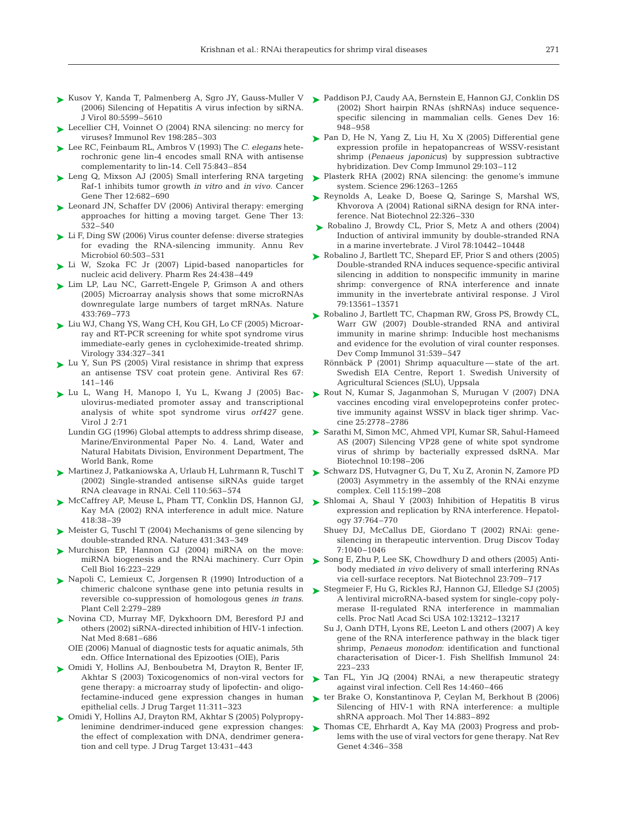- ► Kusov Y, Kanda T, Palmenberg A, Sgro JY, Gauss-Muller V (2006) Silencing of Hepatitis A virus infection by siRNA. J Virol 80:5599–5610
- ► Lecellier CH, Voinnet O (2004) RNA silencing: no mercy for viruses? Immunol Rev 198:285–303
- Lee RC, Feinbaum RL, Ambros V (1993) The *C. elegans* hete-➤ rochronic gene lin-4 encodes small RNA with antisense complementarity to lin-14. Cell 75:843–854
- ► Leng Q, Mixson AJ (2005) Small interfering RNA targeting Raf-1 inhibits tumor growth *in vitro* and *in vivo.* Cancer Gene Ther 12:682–690
- ► Leonard JN, Schaffer DV (2006) Antiviral therapy: emerging approaches for hitting a moving target. Gene Ther 13: 532–540
- ► Li F, Ding SW (2006) Virus counter defense: diverse strategies for evading the RNA-silencing immunity. Annu Rev Microbiol 60:503–531
- ► Li W, Szoka FC Jr (2007) Lipid-based nanoparticles for nucleic acid delivery. Pharm Res 24:438–449
- ► Lim LP, Lau NC, Garrett-Engele P, Grimson A and others (2005) Microarray analysis shows that some microRNAs downregulate large numbers of target mRNAs. Nature 433:769–773
- ► Liu WJ, Chang YS, Wang CH, Kou GH, Lo CF (2005) Microarray and RT-PCR screening for white spot syndrome virus immediate-early genes in cycloheximide-treated shrimp. Virology 334:327–341
- ► Lu Y, Sun PS (2005) Viral resistance in shrimp that express an antisense TSV coat protein gene. Antiviral Res 67: 141–146
- Lu L, Wang H, Manopo I, Yu L, Kwang J (2005) Bac-➤ ulovirus-mediated promoter assay and transcriptional analysis of white spot syndrome virus *orf427* gene. Virol J 2:71
	- Lundin GG (1996) Global attempts to address shrimp disease, Marine/Environmental Paper No. 4. Land, Water and Natural Habitats Division, Environment Department, The World Bank, Rome
- ► Martinez J, Patkaniowska A, Urlaub H, Luhrmann R, Tuschl T (2002) Single-stranded antisense siRNAs guide target RNA cleavage in RNAi. Cell 110:563–574
- ▶ McCaffrey AP, Meuse L, Pham TT, Conklin DS, Hannon GJ, Kay MA (2002) RNA interference in adult mice. Nature 418:38–39
- ► Meister G, Tuschl T (2004) Mechanisms of gene silencing by double-stranded RNA. Nature 431:343–349
- ▶ Murchison EP, Hannon GJ (2004) miRNA on the move: miRNA biogenesis and the RNAi machinery. Curr Opin Cell Biol 16:223–229
- ▶ Napoli C, Lemieux C, Jorgensen R (1990) Introduction of a chimeric chalcone synthase gene into petunia results in reversible co-suppression of homologous genes *in trans*. Plant Cell 2:279–289
- ▶ Novina CD, Murray MF, Dykxhoorn DM, Beresford PJ and others (2002) siRNA-directed inhibition of HIV-1 infection. Nat Med 8:681–686
	- OIE (2006) Manual of diagnostic tests for aquatic animals, 5th edn. Office International des Epizooties (OIE), Paris
- Omidi Y, Hollins AJ, Benboubetra M, Drayton R, Benter IF, ➤ Akhtar S (2003) Toxicogenomics of non-viral vectors for gene therapy: a microarray study of lipofectin- and oligofectamine-induced gene expression changes in human epithelial cells. J Drug Target 11:311–323
- Omidi Y, Hollins AJ, Drayton RM, Akhtar S (2005) Polypropy-➤ lenimine dendrimer-induced gene expression changes: the effect of complexation with DNA, dendrimer generation and cell type. J Drug Target 13:431–443
- ► Paddison PJ, Caudy AA, Bernstein E, Hannon GJ, Conklin DS (2002) Short hairpin RNAs (shRNAs) induce sequencespecific silencing in mammalian cells. Genes Dev 16: 948–958
- ► Pan D, He N, Yang Z, Liu H, Xu X (2005) Differential gene expression profile in hepatopancreas of WSSV-resistant shrimp (*Penaeus japonicus*) by suppression subtractive hybridization. Dev Comp Immunol 29:103–112
- ► Plasterk RHA (2002) RNA silencing: the genome's immune system. Science 296:1263–1265
- ► Reynolds A, Leake D, Boese Q, Saringe S, Marshal WS, Khvorova A (2004) Rational siRNA design for RNA interference. Nat Biotechnol 22:326–330
- ► Robalino J, Browdy CL, Prior S, Metz A and others (2004) Induction of antiviral immunity by double-stranded RNA in a marine invertebrate. J Virol 78:10442–10448
- ► Robalino J, Bartlett TC, Shepard EF, Prior S and others (2005) Double-stranded RNA induces sequence-specific antiviral silencing in addition to nonspecific immunity in marine shrimp: convergence of RNA interference and innate immunity in the invertebrate antiviral response. J Virol 79:13561–13571
- ► Robalino J, Bartlett TC, Chapman RW, Gross PS, Browdy CL, Warr GW (2007) Double-stranded RNA and antiviral immunity in marine shrimp: Inducible host mechanisms and evidence for the evolution of viral counter responses. Dev Comp Immunol 31:539–547
	- Rönnbäck P (2001) Shrimp aquaculture state of the art. Swedish EIA Centre, Report 1. Swedish University of Agricultural Sciences (SLU), Uppsala
- ▶ Rout N, Kumar S, Jaganmohan S, Murugan V (2007) DNA vaccines encoding viral envelopeproteins confer protective immunity against WSSV in black tiger shrimp. Vaccine 25:2778–2786
- ▶ Sarathi M, Simon MC, Ahmed VPI, Kumar SR, Sahul-Hameed AS (2007) Silencing VP28 gene of white spot syndrome virus of shrimp by bacterially expressed dsRNA. Mar Biotechnol 10:198–206
- ► Schwarz DS, Hutvagner G, Du T, Xu Z, Aronin N, Zamore PD (2003) Asymmetry in the assembly of the RNAi enzyme complex. Cell 115:199–208
- ► Shlomai A, Shaul Y (2003) Inhibition of Hepatitis B virus expression and replication by RNA interference. Hepatology 37:764–770
	- Shuey DJ, McCallus DE, Giordano T (2002) RNAi: genesilencing in therapeutic intervention. Drug Discov Today 7:1040–1046
- ► Song E, Zhu P, Lee SK, Chowdhury D and others (2005) Antibody mediated *in vivo* delivery of small interfering RNAs via cell-surface receptors. Nat Biotechnol 23:709–717
- ► Stegmeier F, Hu G, Rickles RJ, Hannon GJ, Elledge SJ (2005) A lentiviral microRNA-based system for single-copy polymerase II-regulated RNA interference in mammalian cells. Proc Natl Acad Sci USA 102:13212–13217
	- Su J, Oanh DTH, Lyons RE, Leeton L and others (2007) A key gene of the RNA interference pathway in the black tiger shrimp, *Penaeus monodon*: identification and functional characterisation of Dicer-1. Fish Shellfish Immunol 24: 223–233
- ▶ Tan FL, Yin JQ (2004) RNAi, a new therapeutic strategy against viral infection. Cell Res 14:460–466
- ► ter Brake O, Konstantinova P, Ceylan M, Berkhout B (2006) Silencing of HIV-1 with RNA interference: a multiple shRNA approach. Mol Ther 14:883–892
- ► Thomas CE, Ehrhardt A, Kay MA (2003) Progress and problems with the use of viral vectors for gene therapy. Nat Rev Genet 4:346–358